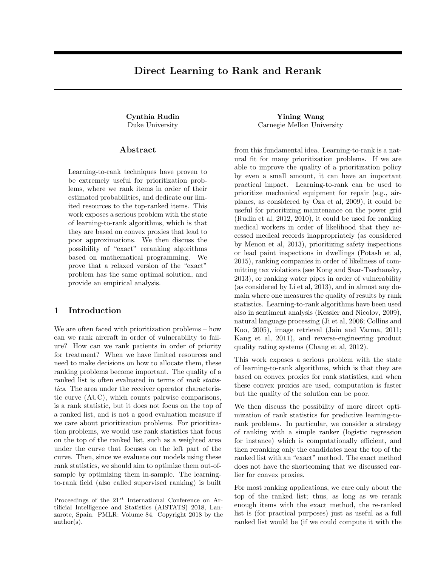# Direct Learning to Rank and Rerank

#### Abstract

Learning-to-rank techniques have proven to be extremely useful for prioritization problems, where we rank items in order of their estimated probabilities, and dedicate our limited resources to the top-ranked items. This work exposes a serious problem with the state of learning-to-rank algorithms, which is that they are based on convex proxies that lead to poor approximations. We then discuss the possibility of "exact" reranking algorithms based on mathematical programming. We prove that a relaxed version of the "exact" problem has the same optimal solution, and provide an empirical analysis.

### 1 Introduction

We are often faced with prioritization problems – how can we rank aircraft in order of vulnerability to failure? How can we rank patients in order of priority for treatment? When we have limited resources and need to make decisions on how to allocate them, these ranking problems become important. The quality of a ranked list is often evaluated in terms of rank statistics. The area under the receiver operator characteristic curve (AUC), which counts pairwise comparisons, is a rank statistic, but it does not focus on the top of a ranked list, and is not a good evaluation measure if we care about prioritization problems. For prioritization problems, we would use rank statistics that focus on the top of the ranked list, such as a weighted area under the curve that focuses on the left part of the curve. Then, since we evaluate our models using these rank statistics, we should aim to optimize them out-ofsample by optimizing them in-sample. The learningto-rank field (also called supervised ranking) is built

Cynthia Rudin Yining Wang Duke University Carnegie Mellon University

> from this fundamental idea. Learning-to-rank is a natural fit for many prioritization problems. If we are able to improve the quality of a prioritization policy by even a small amount, it can have an important practical impact. Learning-to-rank can be used to prioritize mechanical equipment for repair (e.g., airplanes, as considered by Oza et al, 2009), it could be useful for prioritizing maintenance on the power grid (Rudin et al, 2012, 2010), it could be used for ranking medical workers in order of likelihood that they accessed medical records inappropriately (as considered by Menon et al, 2013), prioritizing safety inspections or lead paint inspections in dwellings (Potash et al, 2015), ranking companies in order of likeliness of committing tax violations (see Kong and Saar-Tsechansky, 2013), or ranking water pipes in order of vulnerability (as considered by Li et al, 2013), and in almost any domain where one measures the quality of results by rank statistics. Learning-to-rank algorithms have been used also in sentiment analysis (Kessler and Nicolov, 2009), natural language processing (Ji et al, 2006; Collins and Koo, 2005), image retrieval (Jain and Varma, 2011; Kang et al, 2011), and reverse-engineering product quality rating systems (Chang et al, 2012).

> This work exposes a serious problem with the state of learning-to-rank algorithms, which is that they are based on convex proxies for rank statistics, and when these convex proxies are used, computation is faster but the quality of the solution can be poor.

> We then discuss the possibility of more direct optimization of rank statistics for predictive learning-torank problems. In particular, we consider a strategy of ranking with a simple ranker (logistic regression for instance) which is computationally efficient, and then reranking only the candidates near the top of the ranked list with an "exact" method. The exact method does not have the shortcoming that we discussed earlier for convex proxies.

> For most ranking applications, we care only about the top of the ranked list; thus, as long as we rerank enough items with the exact method, the re-ranked list is (for practical purposes) just as useful as a full ranked list would be (if we could compute it with the

Proceedings of the  $21^{st}$  International Conference on Artificial Intelligence and Statistics (AISTATS) 2018, Lanzarote, Spain. PMLR: Volume 84. Copyright 2018 by the author(s).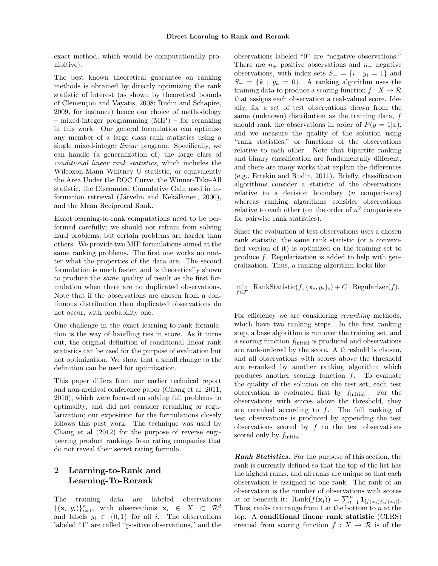exact method, which would be computationally prohibitive).

The best known theoretical guarantee on ranking methods is obtained by directly optimizing the rank statistic of interest (as shown by theoretical bounds of Clemençon and Vayatis, 2008; Rudin and Schapire, 2009, for instance) hence our choice of methodology – mixed-integer programming (MIP) – for reranking in this work. Our general formulation can optimize any member of a large class rank statistics using a single mixed-integer linear program. Specifically, we can handle (a generalization of) the large class of conditional linear rank statistics, which includes the Wilcoxon-Mann Whitney U statistic, or equivalently the Area Under the ROC Curve, the Winner-Take-All statistic, the Discounted Cumulative Gain used in information retrieval (Järvelin and Kekäläinen, 2000), and the Mean Reciprocal Rank.

Exact learning-to-rank computations need to be performed carefully; we should not refrain from solving hard problems, but certain problems are harder than others. We provide two MIP formulations aimed at the same ranking problems. The first one works no matter what the properties of the data are. The second formulation is much faster, and is theoretically shown to produce the same quality of result as the first formulation when there are no duplicated observations. Note that if the observations are chosen from a continuous distribution then duplicated observations do not occur, with probability one.

One challenge in the exact learning-to-rank formulation is the way of handling ties in score. As it turns out, the original definition of conditional linear rank statistics can be used for the purpose of evaluation but not optimization. We show that a small change to the definition can be used for optimization.

This paper differs from our earlier technical report and non-archival conference paper (Chang et al, 2011, 2010), which were focused on solving full problems to optimality, and did not consider reranking or regularization; our exposition for the formulations closely follows this past work. The technique was used by Chang et al (2012) for the purpose of reverse engineering product rankings from rating companies that do not reveal their secret rating formula.

## 2 Learning-to-Rank and Learning-To-Rerank

The training data are labeled observations  $\{(\mathbf{x}_i, y_i)\}_{i=1}^n$ , with observations  $\mathbf{x}_i \in X \subset \mathcal{R}^d$ and labels  $y_i \in \{0,1\}$  for all i. The observations labeled "1" are called "positive observations," and the

observations labeled "0" are "negative observations." There are  $n_{+}$  positive observations and  $n_{-}$  negative observations, with index sets  $S_+ = \{i : y_i = 1\}$  and  $S_ = \{k : y_k = 0\}.$  A ranking algorithm uses the training data to produce a scoring function  $f: X \to \mathcal{R}$ that assigns each observation a real-valued score. Ideally, for a set of test observations drawn from the same (unknown) distribution as the training data, f should rank the observations in order of  $P(y = 1|x)$ , and we measure the quality of the solution using "rank statistics," or functions of the observations relative to each other. Note that bipartite ranking and binary classification are fundamentally different, and there are many works that explain the differences (e.g., Ertekin and Rudin, 2011). Briefly, classification algorithms consider a statistic of the observations relative to a decision boundary  $(n \text{ comparisons})$ whereas ranking algorithms consider observations relative to each other (on the order of  $n^2$  comparisons for pairwise rank statistics).

Since the evaluation of test observations uses a chosen rank statistic, the same rank statistic (or a convexified version of it) is optimized on the training set to produce f. Regularization is added to help with generalization. Thus, a ranking algorithm looks like:

$$
\min_{f \in \mathcal{F}} \text{ RankStatic}(f, \{\mathbf{x}_i, y_i\}_i) + C \cdot \text{Regularizer}(f).
$$

For efficiency we are considering *reranking* methods, which have two ranking steps. In the first ranking step, a base algorithm is run over the training set, and a scoring function finitial is produced and observations are rank-ordered by the score. A threshold is chosen, and all observations with scores above the threshold are reranked by another ranking algorithm which produces another scoring function  $f$ . To evaluate the quality of the solution on the test set, each test observation is evaluated first by  $f_{initial}$ . For the observations with scores above the threshold, they are reranked according to f. The full ranking of test observations is produced by appending the test observations scored by  $f$  to the test observations scored only by  $f_{\text{initial}}$ .

Rank Statistics. For the purpose of this section, the rank is currently defined so that the top of the list has the highest ranks, and all ranks are unique so that each observation is assigned to one rank. The rank of an observation is the number of observations with scores at or beneath it: Rank $(f(\mathbf{x}_i)) = \sum_{t=1}^n \mathbf{1}_{[f(\mathbf{x}_t) \leq f(\mathbf{x}_i)]}$ . Thus, ranks can range from 1 at the bottom to  $n$  at the top. A conditional linear rank statistic (CLRS) created from scoring function  $f : X \to \mathcal{R}$  is of the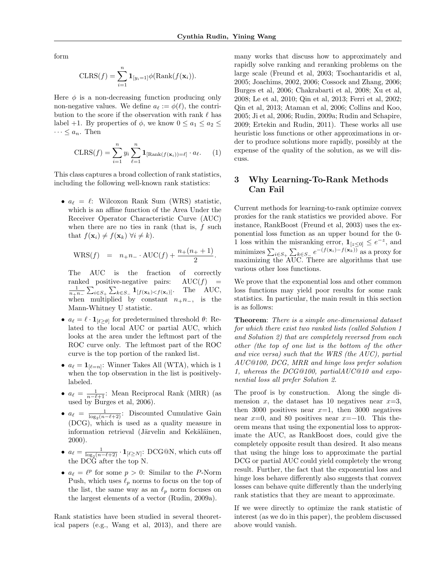form

$$
\text{CLRS}(f) = \sum_{i=1}^{n} \mathbf{1}_{[y_i=1]} \phi(\text{Rank}(f(\mathbf{x}_i))).
$$

Here  $\phi$  is a non-decreasing function producing only non-negative values. We define  $a_{\ell} := \phi(\ell)$ , the contribution to the score if the observation with rank  $\ell$  has label +1. By properties of  $\phi$ , we know  $0 \le a_1 \le a_2 \le$  $\cdots \leq a_n$ . Then

$$
\text{CLRS}(f) = \sum_{i=1}^{n} y_i \sum_{\ell=1}^{n} \mathbf{1}_{\left[\text{Rank}(f(\mathbf{x}_i)) = \ell\right]} \cdot a_{\ell}.
$$
 (1)

This class captures a broad collection of rank statistics, including the following well-known rank statistics:

•  $a_{\ell} = \ell$ : Wilcoxon Rank Sum (WRS) statistic, which is an affine function of the Area Under the Receiver Operator Characteristic Curve (AUC) when there are no ties in rank (that is,  $f$  such that  $f(\mathbf{x}_i) \neq f(\mathbf{x}_k)$   $\forall i \neq k$ ).

$$
WRS(f) = n_+ n_- \cdot AUC(f) + \frac{n_+(n_+ + 1)}{2}.
$$

The AUC is the fraction of correctly ranked positive-negative pairs:  $AUC(f)$  =  $\frac{1}{n+n_-}\sum_{i\in S_+}\sum_{k\in S_-} \mathbf{1}_{[f(\mathbf{x}_k) < f(\mathbf{x}_i)]}$ . The AUC, when multiplied by constant  $n_+n_-,$  is the Mann-Whitney U statistic.

- $a_{\ell} = \ell \cdot \mathbf{1}_{[\ell \geq \theta]}$  for predetermined threshold  $\theta$ : Related to the local AUC or partial AUC, which looks at the area under the leftmost part of the ROC curve only. The leftmost part of the ROC curve is the top portion of the ranked list.
- $a_{\ell} = \mathbf{1}_{[\ell=n]}$ : Winner Takes All (WTA), which is 1 when the top observation in the list is positivelylabeled.
- $a_{\ell} = \frac{1}{n-\ell+1}$ : Mean Reciprocal Rank (MRR) (as used by Burges et al, 2006).
- $a_{\ell} = \frac{1}{\log_2(n-\ell+2)}$ : Discounted Cumulative Gain (DCG), which is used as a quality measure in information retrieval (Järvelin and Kekäläinen, 2000).
- $a_{\ell} = \frac{1}{\log_2(n-\ell+2)} \cdot \mathbf{1}_{\lbrack \ell \geq N \rbrack}$ : DCG@N, which cuts off the DCG after the top N.
- $a_{\ell} = \ell^p$  for some  $p > 0$ : Similar to the P-Norm Push, which uses  $\ell_p$  norms to focus on the top of the list, the same way as an  $\ell_p$  norm focuses on the largest elements of a vector (Rudin, 2009a).

Rank statistics have been studied in several theoretical papers (e.g., Wang et al, 2013), and there are

many works that discuss how to approximately and rapidly solve ranking and reranking problems on the large scale (Freund et al, 2003; Tsochantaridis et al, 2005; Joachims, 2002, 2006; Cossock and Zhang, 2006; Burges et al, 2006; Chakrabarti et al, 2008; Xu et al, 2008; Le et al, 2010; Qin et al, 2013; Ferri et al, 2002; Qin et al, 2013; Ataman et al, 2006; Collins and Koo, 2005; Ji et al, 2006; Rudin, 2009a; Rudin and Schapire, 2009; Ertekin and Rudin, 2011). These works all use heuristic loss functions or other approximations in order to produce solutions more rapidly, possibly at the expense of the quality of the solution, as we will discuss.

## 3 Why Learning-To-Rank Methods Can Fail

Current methods for learning-to-rank optimize convex proxies for the rank statistics we provided above. For instance, RankBoost (Freund et al, 2003) uses the exponential loss function as an upper bound for the 0- 1 loss within the misranking error,  $\mathbf{1}_{[z \leq 0]} \leq e^{-z}$ , and minimizes  $\sum_{i \in S_+} \sum_{k \in S_-} e^{-(f(\mathbf{x}_i) - f(\mathbf{x}_k))}$  as a proxy for maximizing the AUC. There are algorithms that use various other loss functions.

We prove that the exponential loss and other common loss functions may yield poor results for some rank statistics. In particular, the main result in this section is as follows:

Theorem: There is a simple one-dimensional dataset for which there exist two ranked lists (called Solution 1 and Solution 2) that are completely reversed from each other (the top of one list is the bottom of the other and vice versa) such that the WRS (the AUC), partial AUC@100, DCG, MRR and hinge loss prefer solution 1, whereas the DCG@100, partialAUC@10 and exponential loss all prefer Solution 2.

The proof is by construction. Along the single dimension x, the dataset has 10 negatives near  $x=3$ , then 3000 positives near  $x=1$ , then 3000 negatives near  $x=0$ , and 80 positives near  $x=-10$ . This theorem means that using the exponential loss to approximate the AUC, as RankBoost does, could give the completely opposite result than desired. It also means that using the hinge loss to approximate the partial DCG or partial AUC could yield completely the wrong result. Further, the fact that the exponential loss and hinge loss behave differently also suggests that convex losses can behave quite differently than the underlying rank statistics that they are meant to approximate.

If we were directly to optimize the rank statistic of interest (as we do in this paper), the problem discussed above would vanish.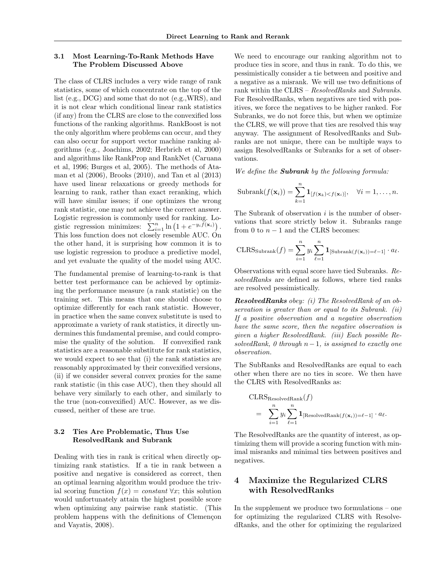#### 3.1 Most Learning-To-Rank Methods Have The Problem Discussed Above

The class of CLRS includes a very wide range of rank statistics, some of which concentrate on the top of the list (e.g., DCG) and some that do not (e.g.,WRS), and it is not clear which conditional linear rank statistics (if any) from the CLRS are close to the convexified loss functions of the ranking algorithms. RankBoost is not the only algorithm where problems can occur, and they can also occur for support vector machine ranking algorithms (e.g., Joachims, 2002; Herbrich et al, 2000) and algorithms like RankProp and RankNet (Caruana et al, 1996; Burges et al, 2005). The methods of Ataman et al (2006), Brooks (2010), and Tan et al (2013) have used linear relaxations or greedy methods for learning to rank, rather than exact reranking, which will have similar issues; if one optimizes the wrong rank statistic, one may not achieve the correct answer. Logistic regression is commonly used for ranking. Logistic regression minimizes:  $\sum_{i=1}^{n} \ln(1 + e^{-y_i \tilde{f}(\mathbf{x}_i)})$ . This loss function does not closely resemble AUC. On the other hand, it is surprising how common it is to use logistic regression to produce a predictive model, and yet evaluate the quality of the model using AUC.

The fundamental premise of learning-to-rank is that better test performance can be achieved by optimizing the performance measure (a rank statistic) on the training set. This means that one should choose to optimize differently for each rank statistic. However, in practice when the same convex substitute is used to approximate a variety of rank statistics, it directly undermines this fundamental premise, and could compromise the quality of the solution. If convexified rank statistics are a reasonable substitute for rank statistics, we would expect to see that (i) the rank statistics are reasonably approximated by their convexified versions, (ii) if we consider several convex proxies for the same rank statistic (in this case AUC), then they should all behave very similarly to each other, and similarly to the true (non-convexified) AUC. However, as we discussed, neither of these are true.

#### 3.2 Ties Are Problematic, Thus Use ResolvedRank and Subrank

Dealing with ties in rank is critical when directly optimizing rank statistics. If a tie in rank between a positive and negative is considered as correct, then an optimal learning algorithm would produce the trivial scoring function  $f(x) = constant \,\forall x$ ; this solution would unfortunately attain the highest possible score when optimizing any pairwise rank statistic. (This problem happens with the definitions of Clemençon and Vayatis, 2008).

We need to encourage our ranking algorithm not to produce ties in score, and thus in rank. To do this, we pessimistically consider a tie between and positive and a negative as a misrank. We will use two definitions of rank within the CLRS – ResolvedRanks and Subranks. For ResolvedRanks, when negatives are tied with positives, we force the negatives to be higher ranked. For Subranks, we do not force this, but when we optimize the CLRS, we will prove that ties are resolved this way anyway. The assignment of ResolvedRanks and Subranks are not unique, there can be multiple ways to assign ResolvedRanks or Subranks for a set of observations.

We define the **Subrank** by the following formula:

Subrank
$$
(f(\mathbf{x}_i)) = \sum_{k=1}^n \mathbf{1}_{[f(\mathbf{x}_k) < f(\mathbf{x}_i)]}, \quad \forall i = 1, \ldots, n.
$$

The Subrank of observation  $i$  is the number of observations that score strictly below it. Subranks range from 0 to  $n - 1$  and the CLRS becomes:

$$
\mathrm{CLRS}_{\mathrm{Subrank}}(f) = \sum_{i=1}^{n} y_i \sum_{\ell=1}^{n} \mathbf{1}_{\left[\mathrm{Subrank}(f(\mathbf{x}_i)) = \ell-1\right]} \cdot a_{\ell}.
$$

Observations with equal score have tied Subranks. ResolvedRanks are defined as follows, where tied ranks are resolved pessimistically.

ResolvedRanks obey: (i) The ResolvedRank of an observation is greater than or equal to its Subrank. (ii) If a positive observation and a negative observation have the same score, then the negative observation is given a higher ResolvedRank. (iii) Each possible ResolvedRank, 0 through  $n-1$ , is assigned to exactly one observation.

The SubRanks and ResolvedRanks are equal to each other when there are no ties in score. We then have the CLRS with ResolvedRanks as:

$$
\begin{aligned} &\text{CLRS}_{\text{ResolvedRank}}(f) \\ &= \sum_{i=1}^{n} y_i \sum_{\ell=1}^{n} \mathbf{1}_{\text{[ResolvedRank}(f(\mathbf{x}_i))=\ell-1]} \cdot a_{\ell}. \end{aligned}
$$

The ResolvedRanks are the quantity of interest, as optimizing them will provide a scoring function with minimal misranks and minimal ties between positives and negatives.

# 4 Maximize the Regularized CLRS with ResolvedRanks

In the supplement we produce two formulations – one for optimizing the regularized CLRS with ResolvedRanks, and the other for optimizing the regularized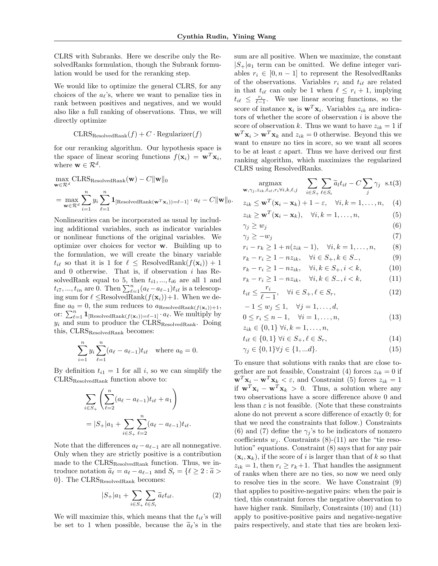CLRS with Subranks. Here we describe only the ResolvedRanks formulation, though the Subrank formulation would be used for the reranking step.

We would like to optimize the general CLRS, for any choices of the  $a_{\ell}$ 's, where we want to penalize ties in rank between positives and negatives, and we would also like a full ranking of observations. Thus, we will directly optimize

$$
CLRS_{ResolvedRank}(f) + C \cdot Regularizer(f)
$$

for our reranking algorithm. Our hypothesis space is the space of linear scoring functions  $f(\mathbf{x}_i) = \mathbf{w}^T \mathbf{x}_i$ , where  $\mathbf{w} \in \mathcal{R}^d$ .

$$
\max_{\mathbf{w}\in\mathcal{R}^d} \text{CLRS}_{\text{ResolvedRank}}(\mathbf{w}) - C \|\mathbf{w}\|_0
$$
\n
$$
= \max_{\mathbf{w}\in\mathcal{R}^d} \sum_{i=1}^n y_i \sum_{\ell=1}^n \mathbf{1}_{\text{[ResolvedRank}(\mathbf{w}^T\mathbf{x}_i))=\ell-1]} \cdot a_{\ell} - C \|\mathbf{w}\|_0.
$$

Nonlinearities can be incorporated as usual by including additional variables, such as indicator variables or nonlinear functions of the original variables. We optimize over choices for vector w. Building up to the formulation, we will create the binary variable  $t_{i\ell}$  so that it is 1 for  $\ell \leq$  ResolvedRank $(f(\mathbf{x}_i)) + 1$ and 0 otherwise. That is, if observation  $i$  has ResolvedRank equal to 5, then  $t_{i1},..., t_{i6}$  are all 1 and  $t_{i7},..., t_{in}$  are 0. Then  $\sum_{\ell=1}^n (a_{\ell}-a_{\ell-1})t_{i\ell}$  is a telescoping sum for  $\ell \leq$ ResolvedRank $(f(\mathbf{x}_i))+1$ . When we define  $a_0 = 0$ , the sum reduces to  $a_{\text{ResolvedRank}(f(\mathbf{x}_i))+1}$ , or:  $\sum_{\ell=1}^n \mathbf{1}_{\text{[ResolvedRank}(f(\mathbf{x}_i))=\ell-1]} \cdot a_{\ell}$ . We multiply by  $y_i$  and sum to produce the  $CLRS_{ResolvedRank}$ . Doing this, CLRS<sub>ResolvedRank</sub> becomes:

$$
\sum_{i=1}^{n} y_i \sum_{\ell=1}^{n} (a_{\ell} - a_{\ell-1}) t_{i\ell} \text{ where } a_0 = 0.
$$

By definition  $t_{i1} = 1$  for all i, so we can simplify the CLRSResolvedRank function above to:

$$
\sum_{i \in S_+} \left( \sum_{\ell=2}^n (a_{\ell} - a_{\ell-1}) t_{i\ell} + a_1 \right)
$$
  
=  $|S_+|a_1 + \sum_{i \in S_+} \sum_{\ell=2}^n (a_{\ell} - a_{\ell-1}) t_{i\ell}.$ 

Note that the differences  $a_{\ell}-a_{\ell-1}$  are all nonnegative. Only when they are strictly positive is a contribution made to the CLRS<sub>ResolvedRank</sub> function. Thus, we introduce notation  $\tilde{a}_{\ell} = a_{\ell} - a_{\ell-1}$  and  $S_r = \{\ell \geq 2 : \tilde{a} > \ell\}$  $0$ . The CLRS $_{\text{ResolvedRank}}$  becomes:

$$
|S_{+}|a_{1} + \sum_{i \in S_{+}} \sum_{\ell \in S_{r}} \widetilde{a}_{\ell} t_{i\ell}.
$$
 (2)

We will maximize this, which means that the  $t_{i\ell}$ 's will be set to 1 when possible, because the  $\tilde{a}_{\ell}$ 's in the sum are all positive. When we maximize, the constant  $|S_+|a_1|$  term can be omitted. We define integer variables  $r_i \in [0, n-1]$  to represent the ResolvedRanks of the observations. Variables  $r_i$  and  $t_{i\ell}$  are related in that  $t_{i\ell}$  can only be 1 when  $\ell \leq r_i + 1$ , implying  $t_{i\ell} \leq \frac{r_i}{\ell-1}$ . We use linear scoring functions, so the score of instance  $\mathbf{x}_i$  is  $\mathbf{w}^T \mathbf{x}_i$ . Variables  $z_{ik}$  are indicators of whether the score of observation  $i$  is above the score of observation k. Thus we want to have  $z_{ik} = 1$  if  $\mathbf{w}^T \mathbf{x}_i > \mathbf{w}^T \mathbf{x}_k$  and  $z_{ik} = 0$  otherwise. Beyond this we want to ensure no ties in score, so we want all scores to be at least  $\varepsilon$  apart. Thus we have derived our first ranking algorithm, which maximizes the regularized CLRS using ResolvedRanks.

$$
\underset{\mathbf{w}, \gamma_j, z_{ik}, t_{i\ell}, r_i \forall i, k, \ell, j}{\text{argmax}} \quad \sum_{i \in S_+} \sum_{\ell \in S_r} \widetilde{a}_l t_{i\ell} - C \sum_j \gamma_j \quad \text{s.t}(3)
$$

$$
z_{ik} \le \mathbf{w}^T(\mathbf{x}_i - \mathbf{x}_k) + 1 - \varepsilon, \quad \forall i, k = 1, \dots, n, \quad (4)
$$

$$
z_{ik} \ge \mathbf{w}^T(\mathbf{x}_i - \mathbf{x}_k), \quad \forall i, k = 1, \dots, n,
$$
 (5)

$$
\gamma_j \ge w_j \tag{6}
$$

$$
\gamma_j \ge -w_j \tag{7}
$$

$$
r_i - r_k \ge 1 + n(z_{ik} - 1), \quad \forall i, k = 1, ..., n,
$$
 (8)

$$
r_k - r_i \ge 1 - nz_{ik}, \quad \forall i \in S_+, k \in S_-,
$$
  
\n
$$
r_k - r_i \ge 1 - nz_{ik}, \quad \forall i, k \in S_+, i < k,
$$
  
\n(10)

$$
r_k - r_i \ge 1 - nz_{ik}, \quad \forall i, k \in S_-, i < k,
$$
\n
$$
(10)
$$

$$
t_{i\ell} \le \frac{r_i}{\ell - 1}, \quad \forall i \in S_+, \ell \in S_r,
$$
\n(12)

$$
-1 \le w_j \le 1, \quad \forall j = 1, \dots, d,
$$

$$
0 \le r_i \le n - 1, \quad \forall i = 1, ..., n,
$$
  
\n
$$
z_{ik} \in \{0, 1\} \forall i, k = 1, ..., n,
$$
\n(13)

$$
t_{i\ell} \in \{0, 1\} \,\forall i \in S_+, \ell \in S_r,\tag{14}
$$

$$
\gamma_j \in \{0, 1\} \forall j \in \{1, \dots d\}.
$$
\n
$$
(15)
$$

To ensure that solutions with ranks that are close together are not feasible, Constraint (4) forces  $z_{ik} = 0$  if  $\mathbf{w}^T \mathbf{x}_i - \mathbf{w}^T \mathbf{x}_k < \varepsilon$ , and Constraint (5) forces  $z_{ik} = 1$ if  $\mathbf{w}^T \mathbf{x}_i - \mathbf{w}^T \mathbf{x}_k > 0$ . Thus, a solution where any two observations have a score difference above 0 and less than  $\varepsilon$  is not feasible. (Note that these constraints alone do not prevent a score difference of exactly 0; for that we need the constraints that follow.) Constraints (6) and (7) define the  $\gamma_i$ 's to be indicators of nonzero coefficients  $w_j$ . Constraints (8)-(11) are the "tie resolution" equations. Constraint (8) says that for any pair  $(\mathbf{x}_i, \mathbf{x}_k)$ , if the score of i is larger than that of k so that  $z_{ik} = 1$ , then  $r_i \geq r_k+1$ . That handles the assignment of ranks when there are no ties, so now we need only to resolve ties in the score. We have Constraint (9) that applies to positive-negative pairs: when the pair is tied, this constraint forces the negative observation to have higher rank. Similarly, Constraints (10) and (11) apply to positive-positive pairs and negative-negative pairs respectively, and state that ties are broken lexi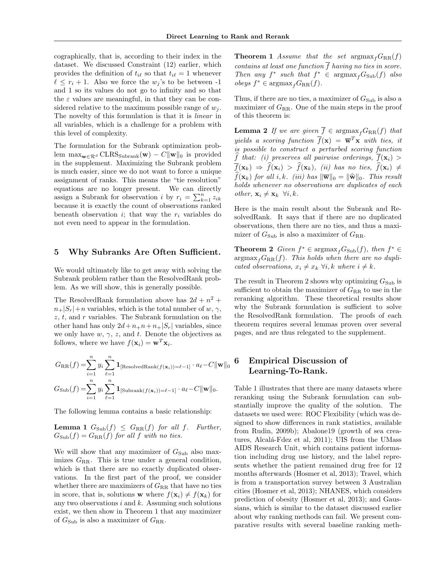cographically, that is, according to their index in the dataset. We discussed Constraint (12) earlier, which provides the definition of  $t_{i\ell}$  so that  $t_{i\ell} = 1$  whenever  $\ell \leq r_i + 1$ . Also we force the  $w_j$ 's to be between -1 and 1 so its values do not go to infinity and so that the  $\varepsilon$  values are meaningful, in that they can be considered relative to the maximum possible range of  $w_i$ . The novelty of this formulation is that it is linear in all variables, which is a challenge for a problem with this level of complexity.

The formulation for the Subrank optimization problem  $\max_{\mathbf{w}\in\mathcal{R}^d}$  CLRS<sub>Subrank</sub>(**w**) –  $C\|\mathbf{w}\|_0$  is provided in the supplement. Maximizing the Subrank problem is much easier, since we do not want to force a unique assignment of ranks. This means the "tie resolution" equations are no longer present. We can directly assign a Subrank for observation *i* by  $r_i = \sum_{k=1}^n z_{ik}$ because it is exactly the count of observations ranked beneath observation i; that way the  $r_i$  variables do not even need to appear in the formulation.

#### 5 Why Subranks Are Often Sufficient.

We would ultimately like to get away with solving the Subrank problem rather than the ResolvedRank problem. As we will show, this is generally possible.

The ResolvedRank formulation above has  $2d + n^2 +$  $n+|S_r|+n$  variables, which is the total number of w,  $\gamma$ ,  $z, t$ , and r variables. The Subrank formulation on the other hand has only  $2d+n+n+n+|S_r|$  variables, since we only have  $w, \gamma, z$ , and t. Denote the objectives as follows, where we have  $f(\mathbf{x}_i) = \mathbf{w}^T \mathbf{x}_i$ .

$$
G_{\rm RR}(f) = \sum_{i=1}^{n} y_i \sum_{\ell=1}^{n} \mathbf{1}_{\left[\text{ResolvedRank}(f(\mathbf{x}_i)) = \ell-1\right]} \cdot a_{\ell} - C \|\mathbf{w}\|_0
$$
  

$$
G_{\rm Sub}(f) = \sum_{i=1}^{n} y_i \sum_{\ell=1}^{n} \mathbf{1}_{\left[\text{Subrank}(f(\mathbf{x}_i)) = \ell-1\right]} \cdot a_{\ell} - C \|\mathbf{w}\|_0.
$$

The following lemma contains a basic relationship:

**Lemma 1**  $G<sub>Sub</sub>(f) \leq G<sub>RR</sub>(f)$  for all f. Further,  $G<sub>Sub</sub>(f) = G<sub>RR</sub>(f)$  for all f with no ties.

We will show that any maximizer of  $G_{\text{Sub}}$  also maximizes  $G_{RR}$ . This is true under a general condition, which is that there are no exactly duplicated observations. In the first part of the proof, we consider whether there are maximizers of  $G_{RR}$  that have no ties in score, that is, solutions w where  $f(\mathbf{x}_i) \neq f(\mathbf{x}_k)$  for any two observations  $i$  and  $k$ . Assuming such solutions exist, we then show in Theorem 1 that any maximizer of  $G_{\text{Sub}}$  is also a maximizer of  $G_{\text{RR}}$ .

**Theorem 1** Assume that the set  $\arg\max_{f} G_{RR}(f)$ contains at least one function  $\overline{f}$  having no ties in score. Then any  $f^*$  such that  $f^* \in \text{argmax}_f G_{\text{Sub}}(f)$  also  $obeys f^* \in \text{argmax}_f G_{RR}(f).$ 

Thus, if there are no ties, a maximizer of  $G_{\text{Sub}}$  is also a maximizer of  $G_{RR}$ . One of the main steps in the proof of this theorem is:

**Lemma 2** If we are given  $\overline{f} \in \operatorname{argmax}_{f} G_{RR}(f)$  that yields a scoring function  $\overline{f}(\mathbf{x}) = \overline{\mathbf{w}}^T\mathbf{x}$  with ties, it is possible to construct a perturbed scoring function  $\widehat{f}$  that: (i) preserves all pairwise orderings,  $\overline{f}(\mathbf{x}_i)$  >  $\overline{f}(\mathbf{x}_k) \Rightarrow \hat{f}(\mathbf{x}_i) > \hat{f}(\mathbf{x}_k)$ , (ii) has no ties,  $\hat{f}(\mathbf{x}_i) \neq$  $\widehat{f}(\mathbf{x}_k)$  for all i, k. (iii) has  $\|\overline{\mathbf{w}}\|_0 = \|\widehat{\mathbf{w}}\|_0$ . This result holds whenever no observations are duplicates of each other,  $\mathbf{x}_i \neq \mathbf{x}_k \ \forall i, k$ .

Here is the main result about the Subrank and ResolvedRank. It says that if there are no duplicated observations, then there are no ties, and thus a maximizer of  $G_{\text{Sub}}$  is also a maximizer of  $G_{\text{RR}}$ .

**Theorem 2** Given  $f^* \in \text{argmax}_f G_{\text{Sub}}(f)$ , then  $f^* \in$  $argmax_{f}G_{RR}(f)$ . This holds when there are no duplicated observations,  $x_i \neq x_k \ \forall i, k$  where  $i \neq k$ .

The result in Theorem 2 shows why optimizing  $G_{\text{Sub}}$  is sufficient to obtain the maximizer of  $G_{RR}$  to use in the reranking algorithm. These theoretical results show why the Subrank formulation is sufficient to solve the ResolvedRank formulation. The proofs of each theorem requires several lemmas proven over several pages, and are thus relegated to the supplement.

# 6 Empirical Discussion of Learning-To-Rank.

Table 1 illustrates that there are many datasets where reranking using the Subrank formulation can substantially improve the quality of the solution. The datasets we used were: ROC Flexibility (which was designed to show differences in rank statistics, available from Rudin, 2009b); Abalone19 (growth of sea creatures, Alcalá-Fdez et al, 2011); UIS from the UMass AIDS Research Unit, which contains patient information including drug use history, and the label represents whether the patient remained drug free for 12 months afterwards (Hosmer et al, 2013); Travel, which is from a transportation survey between 3 Australian cities (Hosmer et al, 2013); NHANES, which considers prediction of obesity (Hosmer et al, 2013); and Gaussians, which is similar to the dataset discussed earlier about why ranking methods can fail. We present comparative results with several baseline ranking meth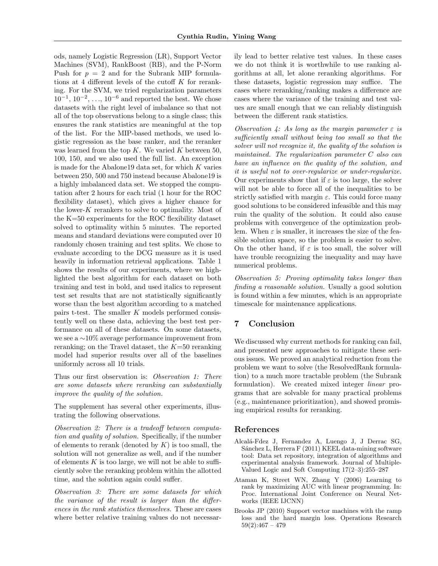ods, namely Logistic Regression (LR), Support Vector Machines (SVM), RankBoost (RB), and the P-Norm Push for  $p = 2$  and for the Subrank MIP formulations at 4 different levels of the cutoff  $K$  for reranking. For the SVM, we tried regularization parameters  $10^{-1}$ ,  $10^{-2}$ , ...,  $10^{-6}$  and reported the best. We chose datasets with the right level of imbalance so that not all of the top observations belong to a single class; this ensures the rank statistics are meaningful at the top of the list. For the MIP-based methods, we used logistic regression as the base ranker, and the reranker was learned from the top  $K$ . We varied  $K$  between 50, 100, 150, and we also used the full list. An exception is made for the Abalone19 data set, for which K varies between 250, 500 and 750 instead because Abalone19 is a highly imbalanced data set. We stopped the computation after 2 hours for each trial (1 hour for the ROC flexibility dataset), which gives a higher chance for the lower- $K$  rerankers to solve to optimality. Most of the K=50 experiments for the ROC flexibility dataset solved to optimality within 5 minutes. The reported means and standard deviations were computed over 10 randomly chosen training and test splits. We chose to evaluate according to the DCG measure as it is used heavily in information retrieval applications. Table 1 shows the results of our experiments, where we highlighted the best algorithm for each dataset on both training and test in bold, and used italics to represent test set results that are not statistically significantly worse than the best algorithm according to a matched pairs t-test. The smaller K models performed consistently well on these data, achieving the best test performance on all of these datasets. On some datasets, we see a ∼10% average performance improvement from reranking; on the Travel dataset, the  $K=50$  reranking model had superior results over all of the baselines uniformly across all 10 trials.

Thus our first observation is: Observation 1: There are some datasets where reranking can substantially improve the quality of the solution.

The supplement has several other experiments, illustrating the following observations.

Observation 2: There is a tradeoff between computation and quality of solution. Specifically, if the number of elements to rerank (denoted by  $K$ ) is too small, the solution will not generalize as well, and if the number of elements  $K$  is too large, we will not be able to sufficiently solve the reranking problem within the allotted time, and the solution again could suffer.

Observation 3: There are some datasets for which the variance of the result is larger than the differences in the rank statistics themselves. These are cases where better relative training values do not necessarily lead to better relative test values. In these cases we do not think it is worthwhile to use ranking algorithms at all, let alone reranking algorithms. For these datasets, logistic regression may suffice. The cases where reranking/ranking makes a difference are cases where the variance of the training and test values are small enough that we can reliably distinguish between the different rank statistics.

Observation 4: As long as the margin parameter  $\varepsilon$  is sufficiently small without being too small so that the solver will not recognize it, the quality of the solution is maintained. The regularization parameter C also can have an influence on the quality of the solution, and it is useful not to over-regularize or under-regularize. Our experiments show that if  $\varepsilon$  is too large, the solver will not be able to force all of the inequalities to be strictly satisfied with margin  $\varepsilon$ . This could force many good solutions to be considered infeasible and this may ruin the quality of the solution. It could also cause problems with convergence of the optimization problem. When  $\varepsilon$  is smaller, it increases the size of the feasible solution space, so the problem is easier to solve. On the other hand, if  $\varepsilon$  is too small, the solver will have trouble recognizing the inequality and may have numerical problems.

Observation 5: Proving optimality takes longer than finding a reasonable solution. Usually a good solution is found within a few minutes, which is an appropriate timescale for maintenance applications.

## 7 Conclusion

We discussed why current methods for ranking can fail, and presented new approaches to mitigate these serious issues. We proved an analytical reduction from the problem we want to solve (the ResolvedRank formulation) to a much more tractable problem (the Subrank formulation). We created mixed integer linear programs that are solvable for many practical problems (e.g., maintenance prioritization), and showed promising empirical results for reranking.

#### References

- Alcal´a-Fdez J, Fernandez A, Luengo J, J Derrac SG, Sánchez L, Herrera F (2011) KEEL data-mining software tool: Data set repository, integration of algorithms and experimental analysis framework. Journal of Multiple-Valued Logic and Soft Computing 17(2–3):255–287
- Ataman K, Street WN, Zhang Y (2006) Learning to rank by maximizing AUC with linear programming. In: Proc. International Joint Conference on Neural Networks (IEEE IJCNN)
- Brooks JP (2010) Support vector machines with the ramp loss and the hard margin loss. Operations Research  $59(2):467 - 479$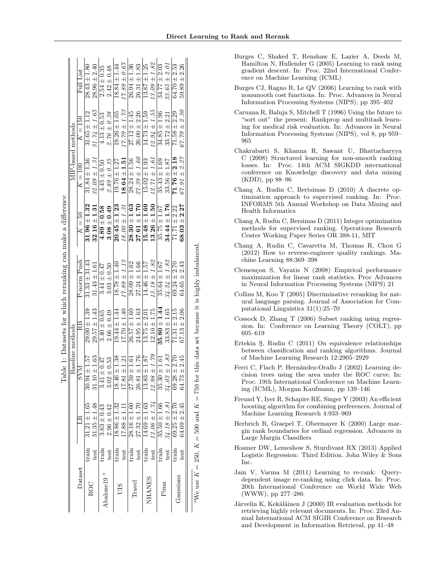| train<br>train<br>train<br>train<br>train<br>train<br>test<br>rain<br>test<br>test<br>test<br>test<br>test<br>test | MIP-based methods<br>$27.39 \pm 1.60$<br>$18.64 \pm 1.51$<br>$15.02 \pm 1.93$<br>$12.71 \pm 1.61$<br>$32.09 \pm 1.31$<br>$28.24 \pm 1.56$<br>$31.84 \pm 1.36$<br>$2.89 \pm 0.35$<br>$19.76 \pm 1.27$<br>$4.45 \pm 0.50$<br>$K=100$<br>$13.26 \pm 1.50$<br>$31.96 \pm 1.32$<br>$15.48 \pm 1.69$<br>$32.16 \pm 1.31$<br>$28.30 \pm 1.63$<br>$27.61 \pm 1.70$<br>$20.45 \pm 1.23$<br>$18.00 \pm 1.31$<br>$4.89 \pm 0.58$<br>$3.08 \pm 0.49$<br>$K=50$<br>P-norm Push<br>$31.33 \pm 31.43$<br>$13.18 \pm 1.82$<br>$17.89 \pm 1.13$<br>.<br>P<br>$28.09 \pm 1.62$<br>$27.24 \pm 1.66$<br>$14.46 \pm 1.57$<br>$18.78 \pm 1.40$<br>$31.43 \pm 1.61$<br>$3.44 \pm 0.47$<br>$3.03 \pm 0.50$<br>$29.57 \pm 1.43$<br>$12.10 \pm 1.75$<br>$29.00 \pm 1.39$<br>$17.70 \pm 1.40$<br>$24.95 \pm 1.63$<br>$26.57 \pm 1.60$<br>$19.44 \pm 1.44$<br>$13.75 \pm 2.01$<br>$3.40 \pm 0.65$<br>$2.66 \pm 0.49$<br>RB<br>Baseline methods<br>$12.98 \pm 1.79$<br>$13.83 + 1.87$<br>$31.10 \pm 1.63$<br>$26.81 \pm 1.76$<br>$30.94 \pm 1.57$<br>$6 + 1.38$<br>$17.81 \pm 1.21$<br>$27.59 \pm 1.61$<br>$-15.0 \pm$<br>$3.02 \pm 0.53$<br>ZАS<br>3.41<br>18.4<br>$13.06 \pm 1.74$<br>$14.69 \pm 1.63$<br>$31.35 \pm 1.48$<br>$27.32 \pm 1.70$<br>$31.21 \pm 1.65$<br>$28.16 \pm 1.60$<br>$18.86 \pm 1.32$<br>$3.63 \pm 0.43$<br>$2.96 \pm 0.42$<br>$17.88 \pm 1.11$<br>Dataset<br>Abalone19 <sup>a</sup><br>NHANES<br>$\rm{Travel}$<br>ROC | $34.85 \pm 1.96$<br>$35.43 \pm 1.69$<br>$33.56 \pm 1.87$<br>$34.44 \pm 1.76$<br>$35.75 \pm 1.67$<br>$34.24 \pm 1.82$<br>$35.64 \pm 1.67$<br>$35.80 \pm 1.44$<br>$33.83 \pm 1.65$<br>$34.03 \pm 1.83$<br>$35.30 \pm 1.61$ | $67.79 \pm 2.30$<br>$71.58 \pm 2.29$<br>$33.72 \pm 2.21$<br>$71.76 \pm 2.18$<br>$67.91 \pm 2.27$<br>$68.03 \pm 2.27$<br>$71.71 \pm 2.22$<br>$69.24 \pm 2.70$<br>$64.65 \pm 2.43$<br>$67.13 \pm 2.06$<br>$71.31 \pm 2.15$<br>$69.28 \pm 2.70$<br>$64.73 \pm 2.45$<br>$34.18 \pm 1.81$<br>$35.50 \pm 1.66$<br>$69.25 \pm 2.70$<br>$64.69 \pm 2.45$ |
|--------------------------------------------------------------------------------------------------------------------|------------------------------------------------------------------------------------------------------------------------------------------------------------------------------------------------------------------------------------------------------------------------------------------------------------------------------------------------------------------------------------------------------------------------------------------------------------------------------------------------------------------------------------------------------------------------------------------------------------------------------------------------------------------------------------------------------------------------------------------------------------------------------------------------------------------------------------------------------------------------------------------------------------------------------------------------------------------------------------------------------------------------------------------------------------------------------------------------------------------------------------------------------------------------------------------------------------------------------------------------------------------------------------------------------------------------------------------------------------------------------------------------------------------|--------------------------------------------------------------------------------------------------------------------------------------------------------------------------------------------------------------------------|--------------------------------------------------------------------------------------------------------------------------------------------------------------------------------------------------------------------------------------------------------------------------------------------------------------------------------------------------|
|--------------------------------------------------------------------------------------------------------------------|------------------------------------------------------------------------------------------------------------------------------------------------------------------------------------------------------------------------------------------------------------------------------------------------------------------------------------------------------------------------------------------------------------------------------------------------------------------------------------------------------------------------------------------------------------------------------------------------------------------------------------------------------------------------------------------------------------------------------------------------------------------------------------------------------------------------------------------------------------------------------------------------------------------------------------------------------------------------------------------------------------------------------------------------------------------------------------------------------------------------------------------------------------------------------------------------------------------------------------------------------------------------------------------------------------------------------------------------------------------------------------------------------------------|--------------------------------------------------------------------------------------------------------------------------------------------------------------------------------------------------------------------------|--------------------------------------------------------------------------------------------------------------------------------------------------------------------------------------------------------------------------------------------------------------------------------------------------------------------------------------------------|

- $K = 750$  for this data set because it is highly imbalanced. 750 for this data set because it is highly imbalanced K = 500 and K $= 250,$ KaWe use
- 965 C (2008) Structured learning for non-smooth ranking losses. In: Proc. 14th ACM SIGKDD international conference on Knowledge discovery and data mining (KDD), pp 88–96 Chang A, Rudin C, Bertsimas D (2010) A discrete optimization approach to supervised ranking. In: Proc. INFORMS 5th Annual Workshop on Data Mining and Health Informatics
	- Chang A, Rudin C, Bersimas D (2011) Integer optimization methods for supervised ranking. Operations Research Center Working Paper Series OR 388-11, MIT
	- Chang A, Rudin C, Cavaretta M, Thomas R, Chou G (2012) How to reverse-engineer quality rankings. Machine Learning 88:369–398
	- Clemençon S, Vayatis N (2008) Empirical performance maximization for linear rank statistics. Proc Advances in Neural Information Processing Systems (NIPS) 21
	- Collins M, Koo T (2005) Discriminative reranking for natural language parsing. Journal of Association for Computational Linguistics 31(1):25–70
	- Cossock D, Zhang T (2006) Subset ranking using regression. In: Conference on Learning Theory (COLT), pp 605–619
	- Ertekin S, Rudin C (2011) On equivalence relationships between classification and ranking algorithms. Journal of Machine Learning Research 12:2905–2929
	- Ferri C, Flach P, Hernández-Orallo J (2002) Learning decision trees using the area under the ROC curve. In: Proc. 19th International Conference on Machine Learning (ICML), Morgan Kaufmann, pp 139–146
	- Freund Y, Iyer R, Schapire RE, Singer Y (2003) An efficient boosting algorithm for combining preferences. Journal of Machine Learning Research 4:933–969
	- Herbrich R, Graepel T, Obermayer K (2000) Large margin rank boundaries for ordinal regression. Advances in Large Margin Classifiers
	- Hosmer DW, Lemeshow S, Sturdivant RX (2013) Applied Logistic Regression: Third Edition. John Wiley & Sons Inc.
	- Jain V, Varma M (2011) Learning to re-rank: Querydependent image re-ranking using click data. In: Proc. 20th International Conference on World Wide Web (WWW), pp 277–286
	- Järvelin K, Kekäläinen J (2000) IR evaluation methods for retrieving highly relevant documents. In: Proc. 23rd Annual International ACM SIGIR Conference on Research and Development in Information Retrieval, pp 41–48
- Burges C, Shaked T, Renshaw E, Lazier A, Deeds M, Hamilton N, Hullender G (2005) Learning to rank using gradient descent. In: Proc. 22nd International Conference on Machine Learning (ICML)
- Burges CJ, Ragno R, Le QV (2006) Learning to rank with nonsmooth cost functions. In: Proc. Advances in Neural Information Processing Systems (NIPS), pp 395–402
- Caruana R, Baluja S, Mitchell T (1996) Using the future to "sort out" the present: Rankprop and multitask learn-Information Processing Systems (NIPS), vol 8, pp 959–
- ing for medical risk evaluation. In: Advances in Neural Chakrabarti S, Khanna R, Sawant U, Bhattacharyya